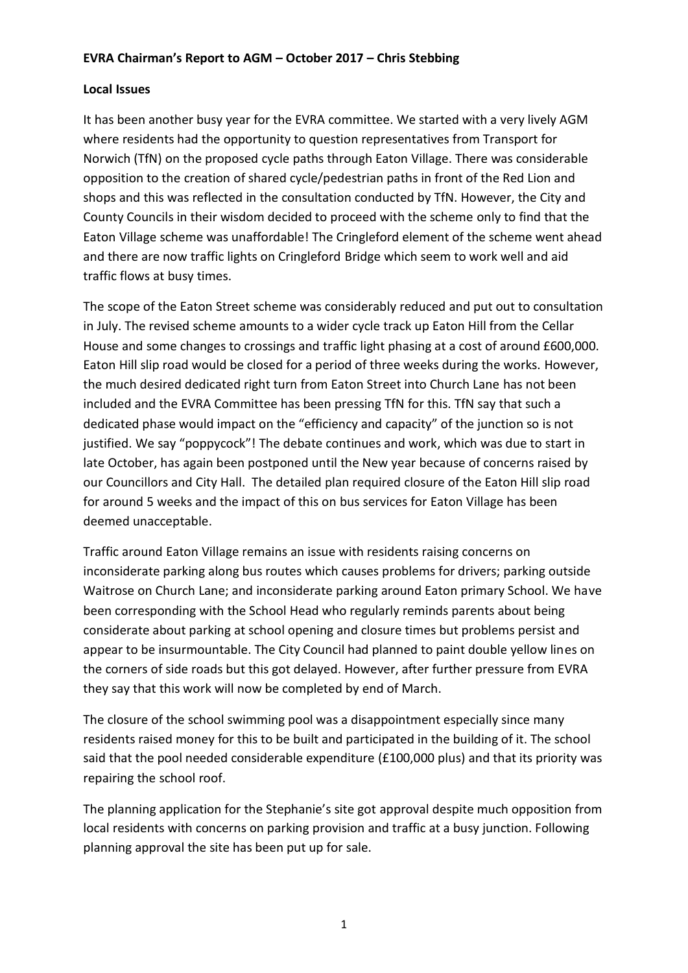## **EVRA Chairman's Report to AGM – October 2017 – Chris Stebbing**

### **Local Issues**

It has been another busy year for the EVRA committee. We started with a very lively AGM where residents had the opportunity to question representatives from Transport for Norwich (TfN) on the proposed cycle paths through Eaton Village. There was considerable opposition to the creation of shared cycle/pedestrian paths in front of the Red Lion and shops and this was reflected in the consultation conducted by TfN. However, the City and County Councils in their wisdom decided to proceed with the scheme only to find that the Eaton Village scheme was unaffordable! The Cringleford element of the scheme went ahead and there are now traffic lights on Cringleford Bridge which seem to work well and aid traffic flows at busy times.

The scope of the Eaton Street scheme was considerably reduced and put out to consultation in July. The revised scheme amounts to a wider cycle track up Eaton Hill from the Cellar House and some changes to crossings and traffic light phasing at a cost of around £600,000. Eaton Hill slip road would be closed for a period of three weeks during the works. However, the much desired dedicated right turn from Eaton Street into Church Lane has not been included and the EVRA Committee has been pressing TfN for this. TfN say that such a dedicated phase would impact on the "efficiency and capacity" of the junction so is not justified. We say "poppycock"! The debate continues and work, which was due to start in late October, has again been postponed until the New year because of concerns raised by our Councillors and City Hall. The detailed plan required closure of the Eaton Hill slip road for around 5 weeks and the impact of this on bus services for Eaton Village has been deemed unacceptable.

Traffic around Eaton Village remains an issue with residents raising concerns on inconsiderate parking along bus routes which causes problems for drivers; parking outside Waitrose on Church Lane; and inconsiderate parking around Eaton primary School. We have been corresponding with the School Head who regularly reminds parents about being considerate about parking at school opening and closure times but problems persist and appear to be insurmountable. The City Council had planned to paint double yellow lines on the corners of side roads but this got delayed. However, after further pressure from EVRA they say that this work will now be completed by end of March.

The closure of the school swimming pool was a disappointment especially since many residents raised money for this to be built and participated in the building of it. The school said that the pool needed considerable expenditure (£100,000 plus) and that its priority was repairing the school roof.

The planning application for the Stephanie's site got approval despite much opposition from local residents with concerns on parking provision and traffic at a busy junction. Following planning approval the site has been put up for sale.

1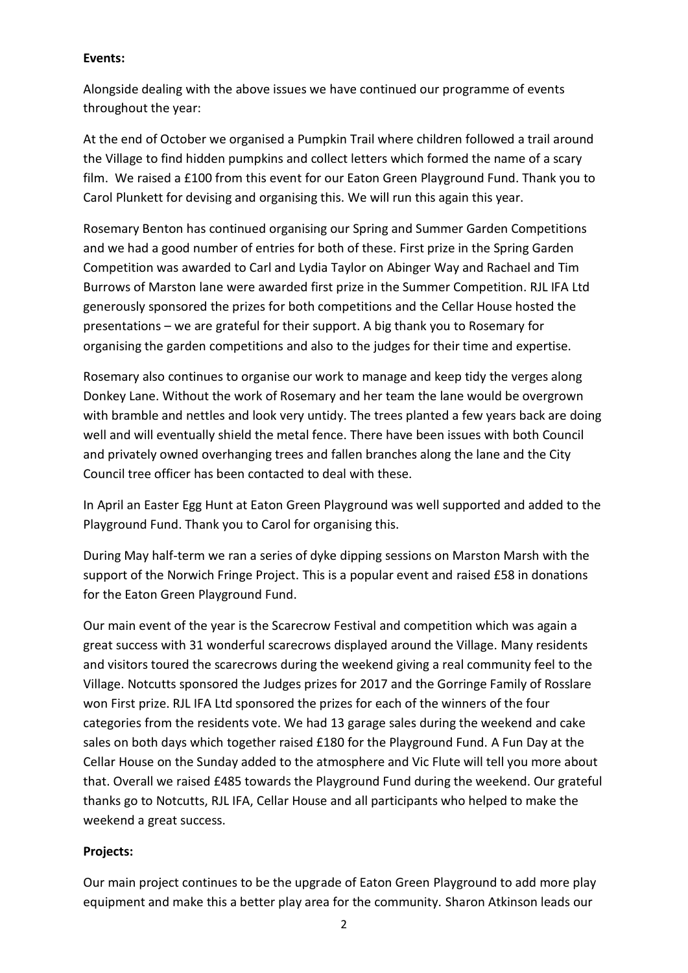### **Events:**

Alongside dealing with the above issues we have continued our programme of events throughout the year:

At the end of October we organised a Pumpkin Trail where children followed a trail around the Village to find hidden pumpkins and collect letters which formed the name of a scary film. We raised a £100 from this event for our Eaton Green Playground Fund. Thank you to Carol Plunkett for devising and organising this. We will run this again this year.

Rosemary Benton has continued organising our Spring and Summer Garden Competitions and we had a good number of entries for both of these. First prize in the Spring Garden Competition was awarded to Carl and Lydia Taylor on Abinger Way and Rachael and Tim Burrows of Marston lane were awarded first prize in the Summer Competition. RJL IFA Ltd generously sponsored the prizes for both competitions and the Cellar House hosted the presentations – we are grateful for their support. A big thank you to Rosemary for organising the garden competitions and also to the judges for their time and expertise.

Rosemary also continues to organise our work to manage and keep tidy the verges along Donkey Lane. Without the work of Rosemary and her team the lane would be overgrown with bramble and nettles and look very untidy. The trees planted a few years back are doing well and will eventually shield the metal fence. There have been issues with both Council and privately owned overhanging trees and fallen branches along the lane and the City Council tree officer has been contacted to deal with these.

In April an Easter Egg Hunt at Eaton Green Playground was well supported and added to the Playground Fund. Thank you to Carol for organising this.

During May half-term we ran a series of dyke dipping sessions on Marston Marsh with the support of the Norwich Fringe Project. This is a popular event and raised £58 in donations for the Eaton Green Playground Fund.

Our main event of the year is the Scarecrow Festival and competition which was again a great success with 31 wonderful scarecrows displayed around the Village. Many residents and visitors toured the scarecrows during the weekend giving a real community feel to the Village. Notcutts sponsored the Judges prizes for 2017 and the Gorringe Family of Rosslare won First prize. RJL IFA Ltd sponsored the prizes for each of the winners of the four categories from the residents vote. We had 13 garage sales during the weekend and cake sales on both days which together raised £180 for the Playground Fund. A Fun Day at the Cellar House on the Sunday added to the atmosphere and Vic Flute will tell you more about that. Overall we raised £485 towards the Playground Fund during the weekend. Our grateful thanks go to Notcutts, RJL IFA, Cellar House and all participants who helped to make the weekend a great success.

# **Projects:**

Our main project continues to be the upgrade of Eaton Green Playground to add more play equipment and make this a better play area for the community. Sharon Atkinson leads our

2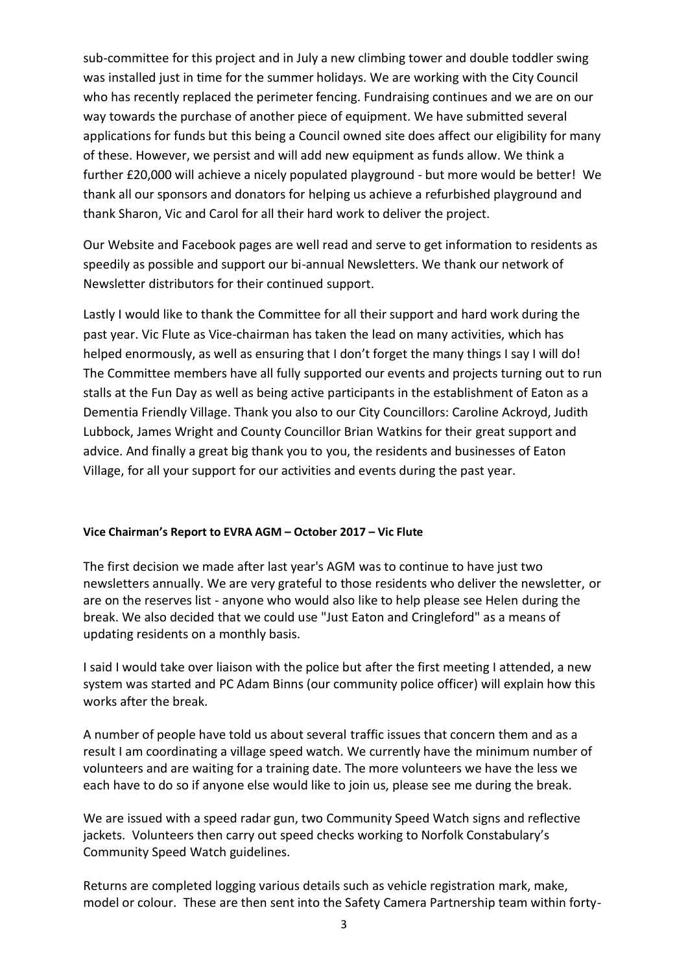sub-committee for this project and in July a new climbing tower and double toddler swing was installed just in time for the summer holidays. We are working with the City Council who has recently replaced the perimeter fencing. Fundraising continues and we are on our way towards the purchase of another piece of equipment. We have submitted several applications for funds but this being a Council owned site does affect our eligibility for many of these. However, we persist and will add new equipment as funds allow. We think a further £20,000 will achieve a nicely populated playground - but more would be better! We thank all our sponsors and donators for helping us achieve a refurbished playground and thank Sharon, Vic and Carol for all their hard work to deliver the project.

Our Website and Facebook pages are well read and serve to get information to residents as speedily as possible and support our bi-annual Newsletters. We thank our network of Newsletter distributors for their continued support.

Lastly I would like to thank the Committee for all their support and hard work during the past year. Vic Flute as Vice-chairman has taken the lead on many activities, which has helped enormously, as well as ensuring that I don't forget the many things I say I will do! The Committee members have all fully supported our events and projects turning out to run stalls at the Fun Day as well as being active participants in the establishment of Eaton as a Dementia Friendly Village. Thank you also to our City Councillors: Caroline Ackroyd, Judith Lubbock, James Wright and County Councillor Brian Watkins for their great support and advice. And finally a great big thank you to you, the residents and businesses of Eaton Village, for all your support for our activities and events during the past year.

#### **Vice Chairman's Report to EVRA AGM – October 2017 – Vic Flute**

The first decision we made after last year's AGM was to continue to have just two newsletters annually. We are very grateful to those residents who deliver the newsletter, or are on the reserves list - anyone who would also like to help please see Helen during the break. We also decided that we could use "Just Eaton and Cringleford" as a means of updating residents on a monthly basis.

I said I would take over liaison with the police but after the first meeting I attended, a new system was started and PC Adam Binns (our community police officer) will explain how this works after the break.

A number of people have told us about several traffic issues that concern them and as a result I am coordinating a village speed watch. We currently have the minimum number of volunteers and are waiting for a training date. The more volunteers we have the less we each have to do so if anyone else would like to join us, please see me during the break.

We are issued with a speed radar gun, two Community Speed Watch signs and reflective jackets. Volunteers then carry out speed checks working to Norfolk Constabulary's Community Speed Watch guidelines.

Returns are completed logging various details such as vehicle registration mark, make, model or colour. These are then sent into the Safety Camera Partnership team within forty